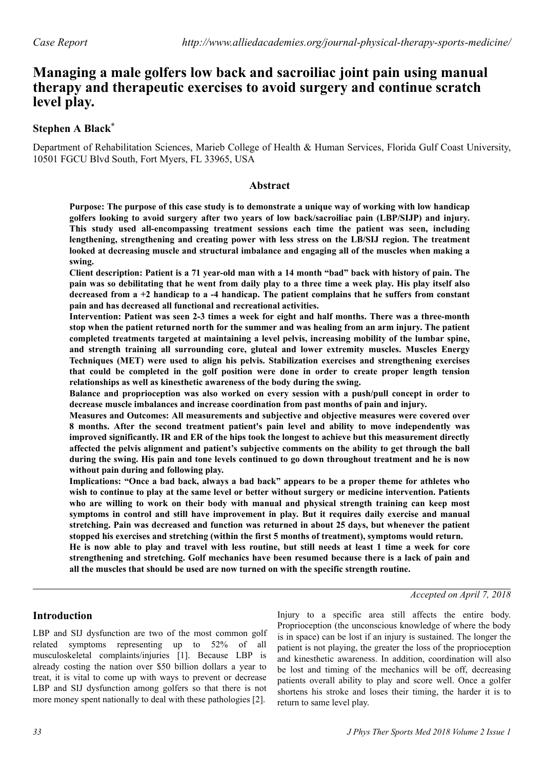# **Managing a male golfers low back and sacroiliac joint pain using manual therapy and therapeutic exercises to avoid surgery and continue scratch level play.**

# **Stephen A Black\***

Department of Rehabilitation Sciences, Marieb College of Health & Human Services, Florida Gulf Coast University, 10501 FGCU Blvd South, Fort Myers, FL 33965, USA

## **Abstract**

**Purpose: The purpose of this case study is to demonstrate a unique way of working with low handicap golfers looking to avoid surgery after two years of low back/sacroiliac pain (LBP/SIJP) and injury. This study used all-encompassing treatment sessions each time the patient was seen, including lengthening, strengthening and creating power with less stress on the LB/SIJ region. The treatment looked at decreasing muscle and structural imbalance and engaging all of the muscles when making a swing.**

**Client description: Patient is a 71 year-old man with a 14 month "bad" back with history of pain. The pain was so debilitating that he went from daily play to a three time a week play. His play itself also decreased from a +2 handicap to a -4 handicap. The patient complains that he suffers from constant pain and has decreased all functional and recreational activities.**

**Intervention: Patient was seen 2-3 times a week for eight and half months. There was a three-month stop when the patient returned north for the summer and was healing from an arm injury. The patient completed treatments targeted at maintaining a level pelvis, increasing mobility of the lumbar spine, and strength training all surrounding core, gluteal and lower extremity muscles. Muscles Energy Techniques (MET) were used to align his pelvis. Stabilization exercises and strengthening exercises that could be completed in the golf position were done in order to create proper length tension relationships as well as kinesthetic awareness of the body during the swing.**

**Balance and proprioception was also worked on every session with a push/pull concept in order to decrease muscle imbalances and increase coordination from past months of pain and injury.**

**Measures and Outcomes: All measurements and subjective and objective measures were covered over 8 months. After the second treatment patient's pain level and ability to move independently was improved significantly. IR and ER of the hips took the longest to achieve but this measurement directly affected the pelvis alignment and patient's subjective comments on the ability to get through the ball during the swing. His pain and tone levels continued to go down throughout treatment and he is now without pain during and following play.**

**Implications: "Once a bad back, always a bad back" appears to be a proper theme for athletes who wish to continue to play at the same level or better without surgery or medicine intervention. Patients who are willing to work on their body with manual and physical strength training can keep most symptoms in control and still have improvement in play. But it requires daily exercise and manual stretching. Pain was decreased and function was returned in about 25 days, but whenever the patient stopped his exercises and stretching (within the first 5 months of treatment), symptoms would return. He is now able to play and travel with less routine, but still needs at least 1 time a week for core strengthening and stretching. Golf mechanics have been resumed because there is a lack of pain and all the muscles that should be used are now turned on with the specific strength routine.**

### *Accepted on April 7, 2018*

# **Introduction**

LBP and SIJ dysfunction are two of the most common golf related symptoms representing up to 52% of all musculoskeletal complaints/injuries [1]. Because LBP is already costing the nation over \$50 billion dollars a year to treat, it is vital to come up with ways to prevent or decrease LBP and SIJ dysfunction among golfers so that there is not more money spent nationally to deal with these pathologies [2].

Injury to a specific area still affects the entire body. Proprioception (the unconscious knowledge of where the body is in space) can be lost if an injury is sustained. The longer the patient is not playing, the greater the loss of the proprioception and kinesthetic awareness. In addition, coordination will also be lost and timing of the mechanics will be off, decreasing patients overall ability to play and score well. Once a golfer shortens his stroke and loses their timing, the harder it is to return to same level play.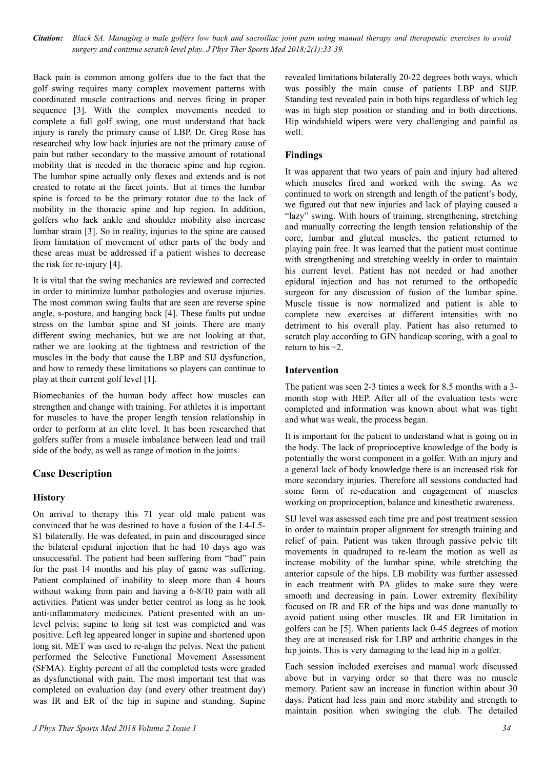*Citation: Black SA. Managing a male golfers low back and sacroiliac joint pain using manual therapy and therapeutic exercises to avoid surgery and continue scratch level play. J Phys Ther Sports Med 2018;2(1):33-39.*

Back pain is common among golfers due to the fact that the golf swing requires many complex movement patterns with coordinated muscle contractions and nerves firing in proper sequence [3]. With the complex movements needed to complete a full golf swing, one must understand that back injury is rarely the primary cause of LBP. Dr. Greg Rose has researched why low back injuries are not the primary cause of pain but rather secondary to the massive amount of rotational mobility that is needed in the thoracic spine and hip region. The lumbar spine actually only flexes and extends and is not created to rotate at the facet joints. But at times the lumbar spine is forced to be the primary rotator due to the lack of mobility in the thoracic spine and hip region. In addition, golfers who lack ankle and shoulder mobility also increase lumbar strain [3]. So in reality, injuries to the spine are caused from limitation of movement of other parts of the body and these areas must be addressed if a patient wishes to decrease the risk for re-injury [4].

It is vital that the swing mechanics are reviewed and corrected in order to minimize lumbar pathologies and overuse injuries. The most common swing faults that are seen are reverse spine angle, s-posture, and hanging back [4]. These faults put undue stress on the lumbar spine and SI joints. There are many different swing mechanics, but we are not looking at that, rather we are looking at the tightness and restriction of the muscles in the body that cause the LBP and SIJ dysfunction, and how to remedy these limitations so players can continue to play at their current golf level [1].

Biomechanics of the human body affect how muscles can strengthen and change with training. For athletes it is important for muscles to have the proper length tension relationship in order to perform at an elite level. It has been researched that golfers suffer from a muscle imbalance between lead and trail side of the body, as well as range of motion in the joints.

# **Case Description**

#### **History**

On arrival to therapy this 71 year old male patient was convinced that he was destined to have a fusion of the L4-L5- S1 bilaterally. He was defeated, in pain and discouraged since the bilateral epidural injection that he had 10 days ago was unsuccessful. The patient had been suffering from "bad" pain for the past 14 months and his play of game was suffering. Patient complained of inability to sleep more than 4 hours without waking from pain and having a 6-8/10 pain with all activities. Patient was under better control as long as he took anti-inflammatory medicines. Patient presented with an unlevel pelvis; supine to long sit test was completed and was positive. Left leg appeared longer in supine and shortened upon long sit. MET was used to re-align the pelvis. Next the patient performed the Selective Functional Movement Assessment (SFMA). Eighty percent of all the completed tests were graded as dysfunctional with pain. The most important test that was completed on evaluation day (and every other treatment day) was IR and ER of the hip in supine and standing. Supine

revealed limitations bilaterally 20-22 degrees both ways, which was possibly the main cause of patients LBP and SIJP. Standing test revealed pain in both hips regardless of which leg was in high step position or standing and in both directions. Hip windshield wipers were very challenging and painful as well.

# **Findings**

It was apparent that two years of pain and injury had altered which muscles fired and worked with the swing. As we continued to work on strength and length of the patient's body, we figured out that new injuries and lack of playing caused a "lazy" swing. With hours of training, strengthening, stretching and manually correcting the length tension relationship of the core, lumbar and gluteal muscles, the patient returned to playing pain free. It was learned that the patient must continue with strengthening and stretching weekly in order to maintain his current level. Patient has not needed or had another epidural injection and has not returned to the orthopedic surgeon for any discussion of fusion of the lumbar spine. Muscle tissue is now normalized and patient is able to complete new exercises at different intensities with no detriment to his overall play. Patient has also returned to scratch play according to GIN handicap scoring, with a goal to return to his  $+2$ .

#### **Intervention**

The patient was seen 2-3 times a week for 8.5 months with a 3 month stop with HEP. After all of the evaluation tests were completed and information was known about what was tight and what was weak, the process began.

It is important for the patient to understand what is going on in the body. The lack of proprioceptive knowledge of the body is potentially the worst component in a golfer. With an injury and a general lack of body knowledge there is an increased risk for more secondary injuries. Therefore all sessions conducted had some form of re-education and engagement of muscles working on proprioception, balance and kinesthetic awareness.

SIJ level was assessed each time pre and post treatment session in order to maintain proper alignment for strength training and relief of pain. Patient was taken through passive pelvic tilt movements in quadruped to re-learn the motion as well as increase mobility of the lumbar spine, while stretching the anterior capsule of the hips. LB mobility was further assessed in each treatment with PA glides to make sure they were smooth and decreasing in pain. Lower extremity flexibility focused on IR and ER of the hips and was done manually to avoid patient using other muscles. IR and ER limitation in golfers can be [5]. When patients lack 0-45 degrees of motion they are at increased risk for LBP and arthritic changes in the hip joints. This is very damaging to the lead hip in a golfer.

Each session included exercises and manual work discussed above but in varying order so that there was no muscle memory. Patient saw an increase in function within about 30 days. Patient had less pain and more stability and strength to maintain position when swinging the club. The detailed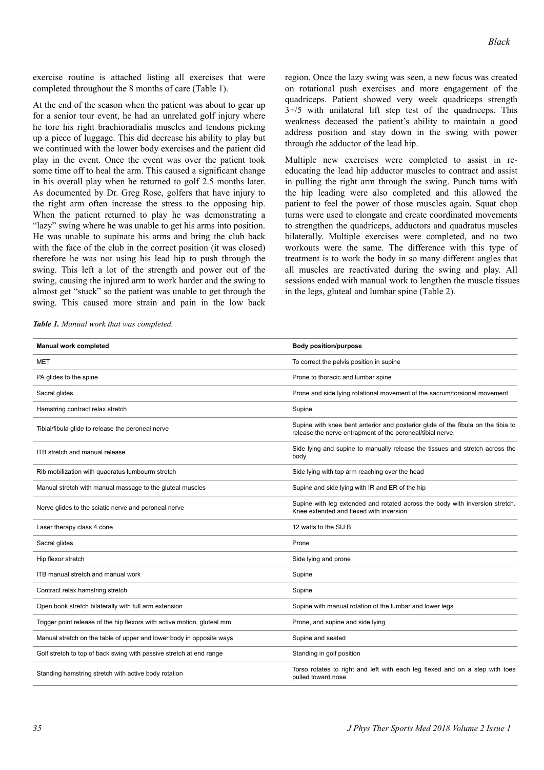exercise routine is attached listing all exercises that were completed throughout the 8 months of care (Table 1).

At the end of the season when the patient was about to gear up for a senior tour event, he had an unrelated golf injury where he tore his right brachioradialis muscles and tendons picking up a piece of luggage. This did decrease his ability to play but we continued with the lower body exercises and the patient did play in the event. Once the event was over the patient took some time off to heal the arm. This caused a significant change in his overall play when he returned to golf 2.5 months later. As documented by Dr. Greg Rose, golfers that have injury to the right arm often increase the stress to the opposing hip. When the patient returned to play he was demonstrating a "lazy" swing where he was unable to get his arms into position. He was unable to supinate his arms and bring the club back with the face of the club in the correct position (it was closed) therefore he was not using his lead hip to push through the swing. This left a lot of the strength and power out of the swing, causing the injured arm to work harder and the swing to almost get "stuck" so the patient was unable to get through the swing. This caused more strain and pain in the low back

*Table 1. Manual work that was completed.*

region. Once the lazy swing was seen, a new focus was created on rotational push exercises and more engagement of the quadriceps. Patient showed very week quadriceps strength 3+/5 with unilateral lift step test of the quadriceps. This weakness deceased the patient's ability to maintain a good address position and stay down in the swing with power through the adductor of the lead hip.

Multiple new exercises were completed to assist in reeducating the lead hip adductor muscles to contract and assist in pulling the right arm through the swing. Punch turns with the hip leading were also completed and this allowed the patient to feel the power of those muscles again. Squat chop turns were used to elongate and create coordinated movements to strengthen the quadriceps, adductors and quadratus muscles bilaterally. Multiple exercises were completed, and no two workouts were the same. The difference with this type of treatment is to work the body in so many different angles that all muscles are reactivated during the swing and play. All sessions ended with manual work to lengthen the muscle tissues in the legs, gluteal and lumbar spine (Table 2).

| <b>Manual work completed</b>                                            | <b>Body position/purpose</b>                                                                                                                   |  |
|-------------------------------------------------------------------------|------------------------------------------------------------------------------------------------------------------------------------------------|--|
| <b>MET</b>                                                              | To correct the pelvis position in supine                                                                                                       |  |
| PA glides to the spine                                                  | Prone to thoracic and lumbar spine                                                                                                             |  |
| Sacral glides                                                           | Prone and side lying rotational movement of the sacrum/torsional movement                                                                      |  |
| Hamstring contract relax stretch                                        | Supine                                                                                                                                         |  |
| Tibial/fibula glide to release the peroneal nerve                       | Supine with knee bent anterior and posterior glide of the fibula on the tibia to<br>release the nerve entrapment of the peroneal/tibial nerve. |  |
| ITB stretch and manual release                                          | Side lying and supine to manually release the tissues and stretch across the<br>body                                                           |  |
| Rib mobilization with quadratus lumbourm stretch                        | Side lying with top arm reaching over the head                                                                                                 |  |
| Manual stretch with manual massage to the gluteal muscles               | Supine and side lying with IR and ER of the hip                                                                                                |  |
| Nerve glides to the sciatic nerve and peroneal nerve                    | Supine with leg extended and rotated across the body with inversion stretch.<br>Knee extended and flexed with inversion                        |  |
| Laser therapy class 4 cone                                              | 12 watts to the SIJ B                                                                                                                          |  |
| Sacral glides                                                           | Prone                                                                                                                                          |  |
| Hip flexor stretch                                                      | Side lying and prone                                                                                                                           |  |
| ITB manual stretch and manual work                                      | Supine                                                                                                                                         |  |
| Contract relax hamstring stretch                                        | Supine                                                                                                                                         |  |
| Open book stretch bilaterally with full arm extension                   | Supine with manual rotation of the lumbar and lower legs                                                                                       |  |
| Trigger point release of the hip flexors with active motion, gluteal mm | Prone, and supine and side lying                                                                                                               |  |
| Manual stretch on the table of upper and lower body in opposite ways    | Supine and seated                                                                                                                              |  |
| Golf stretch to top of back swing with passive stretch at end range     | Standing in golf position                                                                                                                      |  |
| Standing hamstring stretch with active body rotation                    | Torso rotates to right and left with each leg flexed and on a step with toes<br>pulled toward nose                                             |  |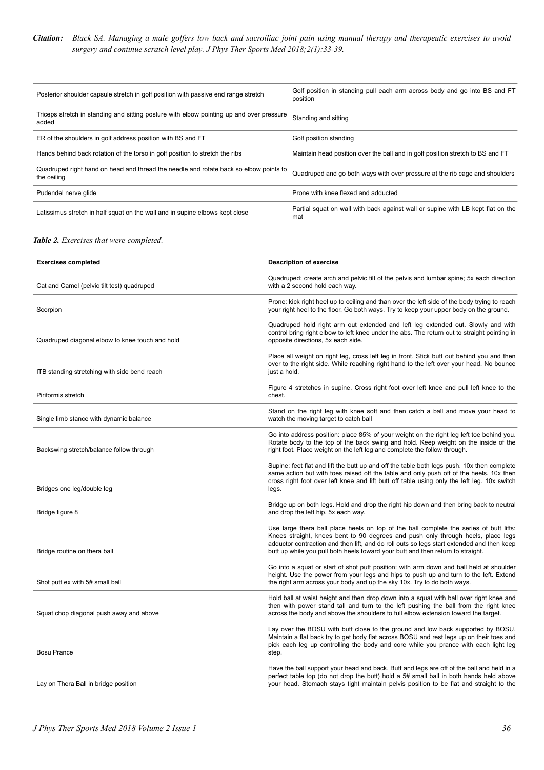#### *Citation: Black SA. Managing a male golfers low back and sacroiliac joint pain using manual therapy and therapeutic exercises to avoid surgery and continue scratch level play. J Phys Ther Sports Med 2018;2(1):33-39.*

| Posterior shoulder capsule stretch in golf position with passive end range stretch                   | Golf position in standing pull each arm across body and go into BS and FT<br>position  |
|------------------------------------------------------------------------------------------------------|----------------------------------------------------------------------------------------|
| Triceps stretch in standing and sitting posture with elbow pointing up and over pressure<br>added    | Standing and sitting                                                                   |
| ER of the shoulders in golf address position with BS and FT                                          | Golf position standing                                                                 |
| Hands behind back rotation of the torso in golf position to stretch the ribs                         | Maintain head position over the ball and in golf position stretch to BS and FT         |
| Quadruped right hand on head and thread the needle and rotate back so elbow points to<br>the ceiling | Quadruped and go both ways with over pressure at the rib cage and shoulders            |
| Pudendel nerve glide                                                                                 | Prone with knee flexed and adducted                                                    |
| Latissimus stretch in half squat on the wall and in supine elbows kept close                         | Partial squat on wall with back against wall or supine with LB kept flat on the<br>mat |

#### *Table 2. Exercises that were completed.*

| <b>Exercises completed</b>                      | <b>Description of exercise</b>                                                                                                                                                                                                                                                                                                                             |  |
|-------------------------------------------------|------------------------------------------------------------------------------------------------------------------------------------------------------------------------------------------------------------------------------------------------------------------------------------------------------------------------------------------------------------|--|
| Cat and Camel (pelvic tilt test) quadruped      | Quadruped: create arch and pelvic tilt of the pelvis and lumbar spine; 5x each direction<br>with a 2 second hold each way.                                                                                                                                                                                                                                 |  |
| Scorpion                                        | Prone: kick right heel up to ceiling and than over the left side of the body trying to reach<br>your right heel to the floor. Go both ways. Try to keep your upper body on the ground.                                                                                                                                                                     |  |
| Quadruped diagonal elbow to knee touch and hold | Quadruped hold right arm out extended and left leg extended out. Slowly and with<br>control bring right elbow to left knee under the abs. The return out to straight pointing in<br>opposite directions, 5x each side.                                                                                                                                     |  |
| ITB standing stretching with side bend reach    | Place all weight on right leg, cross left leg in front. Stick butt out behind you and then<br>over to the right side. While reaching right hand to the left over your head. No bounce<br>just a hold.                                                                                                                                                      |  |
| Piriformis stretch                              | Figure 4 stretches in supine. Cross right foot over left knee and pull left knee to the<br>chest.                                                                                                                                                                                                                                                          |  |
| Single limb stance with dynamic balance         | Stand on the right leg with knee soft and then catch a ball and move your head to<br>watch the moving target to catch ball                                                                                                                                                                                                                                 |  |
| Backswing stretch/balance follow through        | Go into address position: place 85% of your weight on the right leg left toe behind you.<br>Rotate body to the top of the back swing and hold. Keep weight on the inside of the<br>right foot. Place weight on the left leg and complete the follow through.                                                                                               |  |
| Bridges one leg/double leg                      | Supine: feet flat and lift the butt up and off the table both legs push. 10x then complete<br>same action but with toes raised off the table and only push off of the heels. 10x then<br>cross right foot over left knee and lift butt off table using only the left leg. 10x switch<br>legs.                                                              |  |
| Bridge figure 8                                 | Bridge up on both legs. Hold and drop the right hip down and then bring back to neutral<br>and drop the left hip. 5x each way.                                                                                                                                                                                                                             |  |
| Bridge routine on thera ball                    | Use large thera ball place heels on top of the ball complete the series of butt lifts:<br>Knees straight, knees bent to 90 degrees and push only through heels, place legs<br>adductor contraction and then lift, and do roll outs so legs start extended and then keep<br>butt up while you pull both heels toward your butt and then return to straight. |  |
| Shot putt ex with 5# small ball                 | Go into a squat or start of shot putt position: with arm down and ball held at shoulder<br>height. Use the power from your legs and hips to push up and turn to the left. Extend<br>the right arm across your body and up the sky 10x. Try to do both ways.                                                                                                |  |
| Squat chop diagonal push away and above         | Hold ball at waist height and then drop down into a squat with ball over right knee and<br>then with power stand tall and turn to the left pushing the ball from the right knee<br>across the body and above the shoulders to full elbow extension toward the target.                                                                                      |  |
| <b>Bosu Prance</b>                              | Lay over the BOSU with butt close to the ground and low back supported by BOSU.<br>Maintain a flat back try to get body flat across BOSU and rest legs up on their toes and<br>pick each leg up controlling the body and core while you prance with each light leg<br>step.                                                                                |  |
| Lay on Thera Ball in bridge position            | Have the ball support your head and back. Butt and legs are off of the ball and held in a<br>perfect table top (do not drop the butt) hold a 5# small ball in both hands held above<br>your head. Stomach stays tight maintain pelvis position to be flat and straight to the                                                                              |  |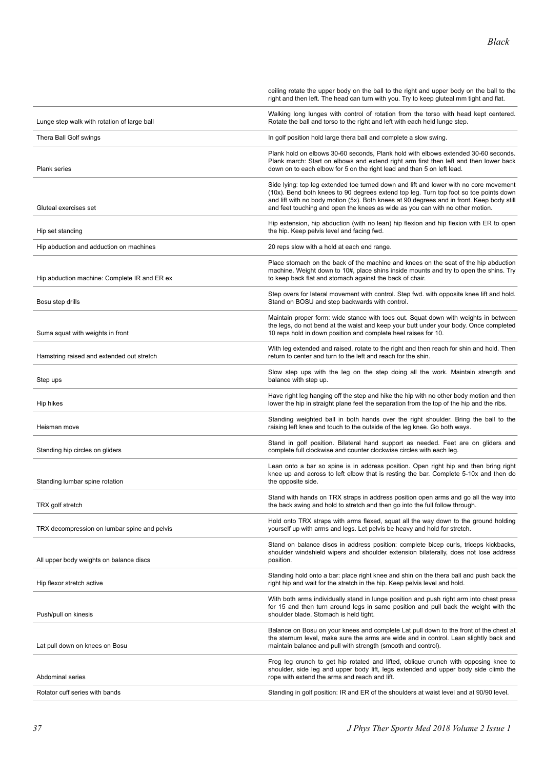|                                              | ceiling rotate the upper body on the ball to the right and upper body on the ball to the<br>right and then left. The head can turn with you. Try to keep gluteal mm tight and flat.                                                                                                                                                                          |  |
|----------------------------------------------|--------------------------------------------------------------------------------------------------------------------------------------------------------------------------------------------------------------------------------------------------------------------------------------------------------------------------------------------------------------|--|
| Lunge step walk with rotation of large ball  | Walking long lunges with control of rotation from the torso with head kept centered.<br>Rotate the ball and torso to the right and left with each held lunge step.                                                                                                                                                                                           |  |
| Thera Ball Golf swings                       | In golf position hold large thera ball and complete a slow swing.                                                                                                                                                                                                                                                                                            |  |
| <b>Plank series</b>                          | Plank hold on elbows 30-60 seconds, Plank hold with elbows extended 30-60 seconds.<br>Plank march: Start on elbows and extend right arm first then left and then lower back<br>down on to each elbow for 5 on the right lead and than 5 on left lead.                                                                                                        |  |
| Gluteal exercises set                        | Side lying: top leg extended toe turned down and lift and lower with no core movement<br>(10x). Bend both knees to 90 degrees extend top leg. Turn top foot so toe points down<br>and lift with no body motion (5x). Both knees at 90 degrees and in front. Keep body still<br>and feet touching and open the knees as wide as you can with no other motion. |  |
| Hip set standing                             | Hip extension, hip abduction (with no lean) hip flexion and hip flexion with ER to open<br>the hip. Keep pelvis level and facing fwd.                                                                                                                                                                                                                        |  |
| Hip abduction and adduction on machines      | 20 reps slow with a hold at each end range.                                                                                                                                                                                                                                                                                                                  |  |
| Hip abduction machine: Complete IR and ER ex | Place stomach on the back of the machine and knees on the seat of the hip abduction<br>machine. Weight down to 10#, place shins inside mounts and try to open the shins. Try<br>to keep back flat and stomach against the back of chair.                                                                                                                     |  |
| Bosu step drills                             | Step overs for lateral movement with control. Step fwd. with opposite knee lift and hold.<br>Stand on BOSU and step backwards with control.                                                                                                                                                                                                                  |  |
| Suma squat with weights in front             | Maintain proper form: wide stance with toes out. Squat down with weights in between<br>the legs, do not bend at the waist and keep your butt under your body. Once completed<br>10 reps hold in down position and complete heel raises for 10.                                                                                                               |  |
| Hamstring raised and extended out stretch    | With leg extended and raised, rotate to the right and then reach for shin and hold. Then<br>return to center and turn to the left and reach for the shin.                                                                                                                                                                                                    |  |
| Step ups                                     | Slow step ups with the leg on the step doing all the work. Maintain strength and<br>balance with step up.                                                                                                                                                                                                                                                    |  |
| Hip hikes                                    | Have right leg hanging off the step and hike the hip with no other body motion and then<br>lower the hip in straight plane feel the separation from the top of the hip and the ribs.                                                                                                                                                                         |  |
| Heisman move                                 | Standing weighted ball in both hands over the right shoulder. Bring the ball to the<br>raising left knee and touch to the outside of the leg knee. Go both ways.                                                                                                                                                                                             |  |
| Standing hip circles on gliders              | Stand in golf position. Bilateral hand support as needed. Feet are on gliders and<br>complete full clockwise and counter clockwise circles with each leg.                                                                                                                                                                                                    |  |
| Standing lumbar spine rotation               | Lean onto a bar so spine is in address position. Open right hip and then bring right<br>knee up and across to left elbow that is resting the bar. Complete 5-10x and then do<br>the opposite side.                                                                                                                                                           |  |
| TRX golf stretch                             | Stand with hands on TRX straps in address position open arms and go all the way into<br>the back swing and hold to stretch and then go into the full follow through.                                                                                                                                                                                         |  |
| TRX decompression on lumbar spine and pelvis | Hold onto TRX straps with arms flexed, squat all the way down to the ground holding<br>yourself up with arms and legs. Let pelvis be heavy and hold for stretch.                                                                                                                                                                                             |  |
| All upper body weights on balance discs      | Stand on balance discs in address position: complete bicep curls, triceps kickbacks,<br>shoulder windshield wipers and shoulder extension bilaterally, does not lose address<br>position.                                                                                                                                                                    |  |
| Hip flexor stretch active                    | Standing hold onto a bar: place right knee and shin on the thera ball and push back the<br>right hip and wait for the stretch in the hip. Keep pelvis level and hold.                                                                                                                                                                                        |  |
| Push/pull on kinesis                         | With both arms individually stand in lunge position and push right arm into chest press<br>for 15 and then turn around legs in same position and pull back the weight with the<br>shoulder blade. Stomach is held tight.                                                                                                                                     |  |
| Lat pull down on knees on Bosu               | Balance on Bosu on your knees and complete Lat pull down to the front of the chest at<br>the sternum level, make sure the arms are wide and in control. Lean slightly back and<br>maintain balance and pull with strength (smooth and control).                                                                                                              |  |
| Abdominal series                             | Frog leg crunch to get hip rotated and lifted, oblique crunch with opposing knee to<br>shoulder, side leg and upper body lift, legs extended and upper body side climb the<br>rope with extend the arms and reach and lift.                                                                                                                                  |  |
| Rotator cuff series with bands               | Standing in golf position: IR and ER of the shoulders at waist level and at 90/90 level.                                                                                                                                                                                                                                                                     |  |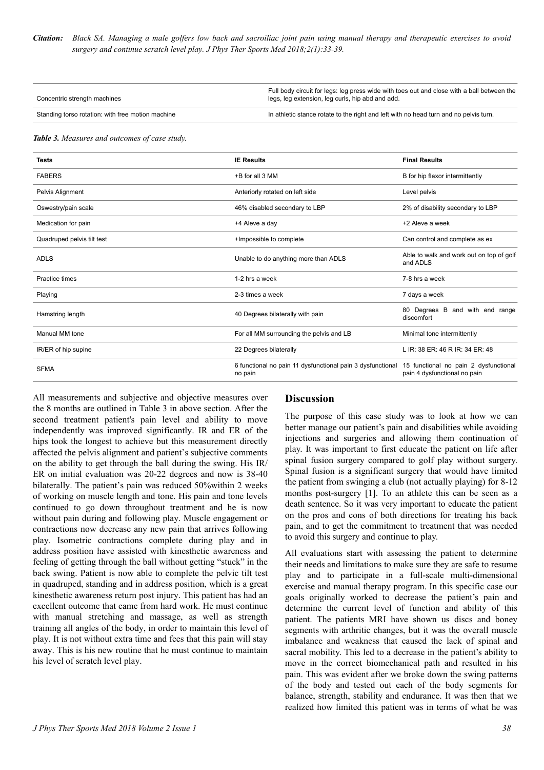*Citation: Black SA. Managing a male golfers low back and sacroiliac joint pain using manual therapy and therapeutic exercises to avoid surgery and continue scratch level play. J Phys Ther Sports Med 2018;2(1):33-39.*

| Concentric strength machines                      | Full body circuit for legs: leg press wide with toes out and close with a ball between the<br>legs, leg extension, leg curls, hip abd and add. |
|---------------------------------------------------|------------------------------------------------------------------------------------------------------------------------------------------------|
| Standing torso rotation: with free motion machine | In athletic stance rotate to the right and left with no head turn and no pelvis turn.                                                          |

*Table 3. Measures and outcomes of case study.*

| <b>Tests</b>               | <b>IE Results</b>                                                     | <b>Final Results</b>                                                  |
|----------------------------|-----------------------------------------------------------------------|-----------------------------------------------------------------------|
| <b>FABERS</b>              | +B for all 3 MM                                                       | B for hip flexor intermittently                                       |
| Pelvis Alignment           | Anteriorly rotated on left side                                       | Level pelvis                                                          |
| Oswestry/pain scale        | 46% disabled secondary to LBP                                         | 2% of disability secondary to LBP                                     |
| Medication for pain        | +4 Aleve a day                                                        | +2 Aleve a week                                                       |
| Quadruped pelvis tilt test | +Impossible to complete                                               | Can control and complete as ex                                        |
| <b>ADLS</b>                | Unable to do anything more than ADLS                                  | Able to walk and work out on top of golf<br>and ADLS                  |
| Practice times             | 1-2 hrs a week                                                        | 7-8 hrs a week                                                        |
| Playing                    | 2-3 times a week                                                      | 7 days a week                                                         |
| Hamstring length           | 40 Degrees bilaterally with pain                                      | 80 Degrees B and with end range<br>discomfort                         |
| Manual MM tone             | For all MM surrounding the pelvis and LB                              | Minimal tone intermittently                                           |
| IR/ER of hip supine        | 22 Degrees bilaterally                                                | L IR: 38 ER: 46 R IR: 34 ER: 48                                       |
| <b>SFMA</b>                | 6 functional no pain 11 dysfunctional pain 3 dysfunctional<br>no pain | 15 functional no pain 2 dysfunctional<br>pain 4 dysfunctional no pain |

All measurements and subjective and objective measures over the 8 months are outlined in Table 3 in above section. After the second treatment patient's pain level and ability to move independently was improved significantly. IR and ER of the hips took the longest to achieve but this measurement directly affected the pelvis alignment and patient's subjective comments on the ability to get through the ball during the swing. His IR/ ER on initial evaluation was 20-22 degrees and now is 38-40 bilaterally. The patient's pain was reduced 50%within 2 weeks of working on muscle length and tone. His pain and tone levels continued to go down throughout treatment and he is now without pain during and following play. Muscle engagement or contractions now decrease any new pain that arrives following play. Isometric contractions complete during play and in address position have assisted with kinesthetic awareness and feeling of getting through the ball without getting "stuck" in the back swing. Patient is now able to complete the pelvic tilt test in quadruped, standing and in address position, which is a great kinesthetic awareness return post injury. This patient has had an excellent outcome that came from hard work. He must continue with manual stretching and massage, as well as strength training all angles of the body, in order to maintain this level of play. It is not without extra time and fees that this pain will stay away. This is his new routine that he must continue to maintain his level of scratch level play.

#### **Discussion**

The purpose of this case study was to look at how we can better manage our patient's pain and disabilities while avoiding injections and surgeries and allowing them continuation of play. It was important to first educate the patient on life after spinal fusion surgery compared to golf play without surgery. Spinal fusion is a significant surgery that would have limited the patient from swinging a club (not actually playing) for 8-12 months post-surgery [1]. To an athlete this can be seen as a death sentence. So it was very important to educate the patient on the pros and cons of both directions for treating his back pain, and to get the commitment to treatment that was needed to avoid this surgery and continue to play.

All evaluations start with assessing the patient to determine their needs and limitations to make sure they are safe to resume play and to participate in a full-scale multi-dimensional exercise and manual therapy program. In this specific case our goals originally worked to decrease the patient's pain and determine the current level of function and ability of this patient. The patients MRI have shown us discs and boney segments with arthritic changes, but it was the overall muscle imbalance and weakness that caused the lack of spinal and sacral mobility. This led to a decrease in the patient's ability to move in the correct biomechanical path and resulted in his pain. This was evident after we broke down the swing patterns of the body and tested out each of the body segments for balance, strength, stability and endurance. It was then that we realized how limited this patient was in terms of what he was